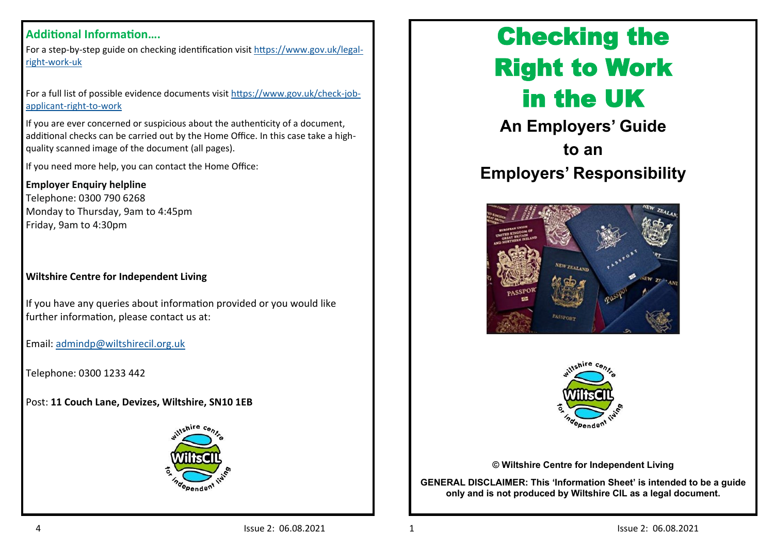#### **Additional Information….**

For a step-by-step guide on checking identification visit [https://www.gov.uk/legal](https://www.gov.uk/legal-right-work-uk)right-[work](https://www.gov.uk/legal-right-work-uk)-uk

For a full list of possible evidence documents visit [https://www.gov.uk/check](https://www.gov.uk/check-job-applicant-right-to-work)-job[applicant](https://www.gov.uk/check-job-applicant-right-to-work)-right-to-work

If you are ever concerned or suspicious about the authenticity of a document, additional checks can be carried out by the Home Office. In this case take a highquality scanned image of the document (all pages).

If you need more help, you can contact the Home Office:

#### **Employer Enquiry helpline**

Telephone: 0300 790 6268 Monday to Thursday, 9am to 4:45pm Friday, 9am to 4:30pm

#### **Wiltshire Centre for Independent Living**

If you have any queries about information provided or you would like further information, please contact us at:

Email: [admindp@wiltshirecil.org.uk](mailto:admindp@wiltshirecil.org.uk)

Telephone: 0300 1233 442

Post: **11 Couch Lane, Devizes, Wiltshire, SN10 1EB** 



# Checking the Right to Work in the UK

**An Employers' Guide to an Employers' Responsibility**





**© Wiltshire Centre for Independent Living**

**GENERAL DISCLAIMER: This 'Information Sheet' is intended to be a guide only and is not produced by Wiltshire CIL as a legal document.**